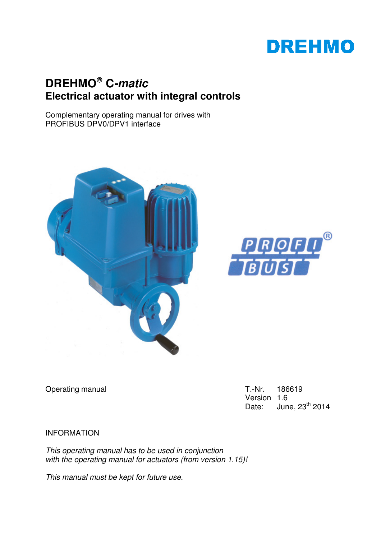# **DREHMO**

## **DREHMO C-matic Electrical actuator with integral controls**

Complementary operating manual for drives with PROFIBUS DPV0/DPV1 interface





Operating manual Charles Contract Contract Contract Contract Contract Contract Contract Contract Contract Contract Contract Contract Contract Contract Contract Contract Contract Contract Contract Contract Contract Contract

Version 1.6 Date: June,  $23<sup>th</sup>$  2014

INFORMATION

This operating manual has to be used in conjunction with the operating manual for actuators (from version 1.15)!

This manual must be kept for future use.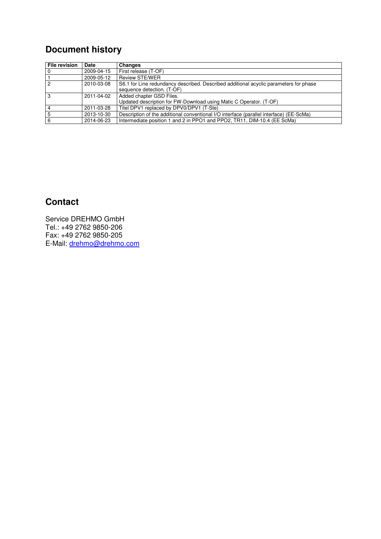## **Document history**

| File revision  | Date       | Changes                                                                                 |
|----------------|------------|-----------------------------------------------------------------------------------------|
| l o            | 2009-04-15 | First release (T-OF)                                                                    |
| $\vert$ 1      | 2009-05-12 | <b>Review STE/WER</b>                                                                   |
| $\overline{2}$ | 2010-03-08 | S6.1 for Line redundancy described. Described additional acyclic parameters for phase   |
|                |            | sequence detection. (T-OF)                                                              |
| <sup>3</sup>   | 2011-04-02 | Added chapter GSD Files.                                                                |
|                |            | Updated description for FW-Download using Matic C Operator. (T-OF)                      |
| $\overline{4}$ | 2011-03-28 | Titel DPV1 replaced by DPV0/DPV1 (T-Ste)                                                |
| 5              | 2013-10-30 | Description of the additional conventional I/O interface (parallel interface) (EE-ScMa) |
| 6              | 2014-06-23 | Intermediate position 1 and 2 in PPO1 and PPO2, TR11, DIM-10.4 (EE ScMa)                |

## **Contact**

Service DREHMO GmbH Tel.: +49 2762 9850-206 Fax: +49 2762 9850-205 E-Mail: drehmo@drehmo.com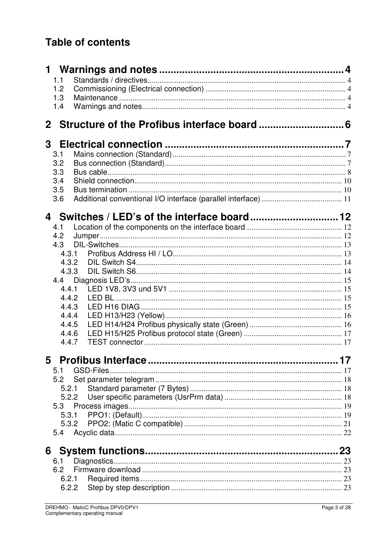## **Table of contents**

|   | 1.1        |       |    |
|---|------------|-------|----|
|   | 1.2        |       |    |
|   | 1.3        |       |    |
|   | 1.4        |       |    |
|   |            |       |    |
| 3 |            |       |    |
|   | 3.1        |       |    |
|   | 3.2        |       |    |
|   | 3.3        |       |    |
|   | 3.4        |       |    |
|   | 3.5<br>3.6 |       |    |
|   |            |       |    |
|   |            |       |    |
|   | 4.1        |       |    |
|   | 4.2        |       |    |
|   | 4.3        |       |    |
|   |            | 4.3.1 |    |
|   | 4.3.2      |       |    |
|   | 4.3.3      |       |    |
|   | 4.4.1      |       |    |
|   | 4.4.2      |       |    |
|   | 4.4.3      |       |    |
|   | 4.4.4      |       |    |
|   | 4.4.5      |       |    |
|   | 4.4.6      |       |    |
|   | 4.4.7      |       |    |
|   |            |       | 17 |
|   | 5.1        |       |    |
|   | 5.2        |       |    |
|   |            | 5.2.1 |    |
|   | 5.2.2      |       |    |
|   | 5.3        |       |    |
|   | 5.3.1      |       |    |
|   |            | 5.3.2 |    |
|   |            |       |    |
|   |            |       |    |
|   | 6.1        |       |    |
|   | 6.2        |       |    |
|   |            |       |    |
|   |            |       |    |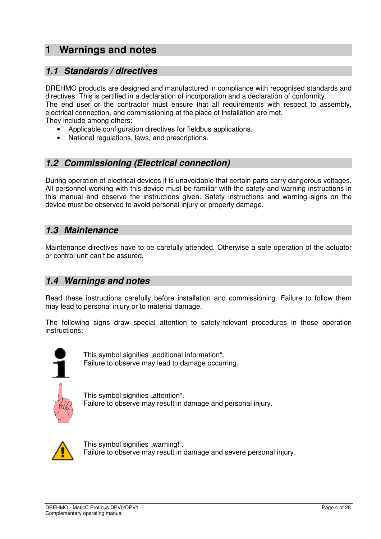## **1 Warnings and notes**

## **1.1 Standards / directives**

DREHMO products are designed and manufactured in compliance with recognised standards and directives. This is certified in a declaration of incorporation and a declaration of conformity. The end user or the contractor must ensure that all requirements with respect to assembly, electrical connection, and commissioning at the place of installation are met. They include among others:

- Applicable configuration directives for fieldbus applications.
- National regulations, laws, and prescriptions.

## **1.2 Commissioning (Electrical connection)**

During operation of electrical devices it is unavoidable that certain parts carry dangerous voltages. All personnel working with this device must be familiar with the safety and warning instructions in this manual and observe the instructions given. Safety instructions and warning signs on the device must be observed to avoid personal injury or property damage.

## **1.3 Maintenance**

Maintenance directives have to be carefully attended. Otherwise a safe operation of the actuator or control unit can't be assured.

### **1.4 Warnings and notes**

Read these instructions carefully before installation and commissioning. Failure to follow them may lead to personal injury or to material damage.

The following signs draw special attention to safety-relevant procedures in these operation instructions:



This symbol signifies "additional information". Failure to observe may lead to damage occurring.



This symbol signifies "attention". Failure to observe may result in damage and personal injury.



This symbol signifies "warning!". Failure to observe may result in damage and severe personal injury.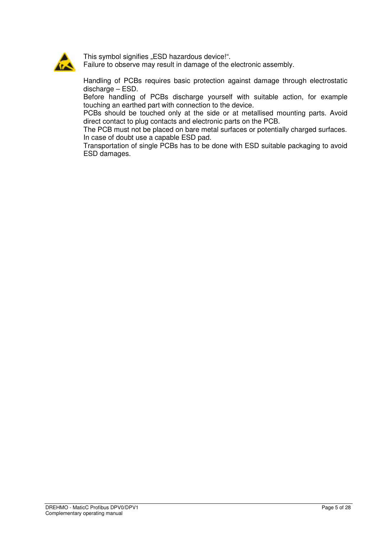

This symbol signifies "ESD hazardous device!".

Failure to observe may result in damage of the electronic assembly.

Handling of PCBs requires basic protection against damage through electrostatic discharge – ESD.

Before handling of PCBs discharge yourself with suitable action, for example touching an earthed part with connection to the device.

PCBs should be touched only at the side or at metallised mounting parts. Avoid direct contact to plug contacts and electronic parts on the PCB.

The PCB must not be placed on bare metal surfaces or potentially charged surfaces. In case of doubt use a capable ESD pad.

Transportation of single PCBs has to be done with ESD suitable packaging to avoid ESD damages.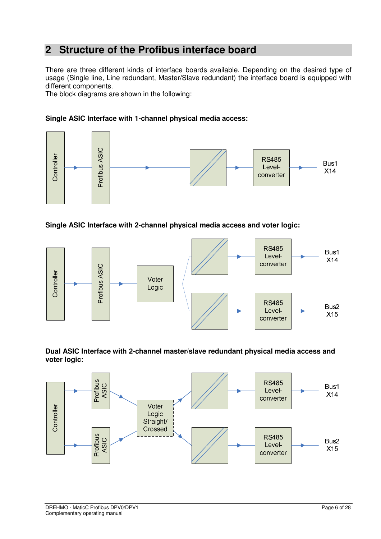## **2 Structure of the Profibus interface board**

There are three different kinds of interface boards available. Depending on the desired type of usage (Single line, Line redundant, Master/Slave redundant) the interface board is equipped with different components.

The block diagrams are shown in the following:

#### **Single ASIC Interface with 1-channel physical media access:**



**Single ASIC Interface with 2-channel physical media access and voter logic:** 



**Dual ASIC Interface with 2-channel master/slave redundant physical media access and voter logic:** 

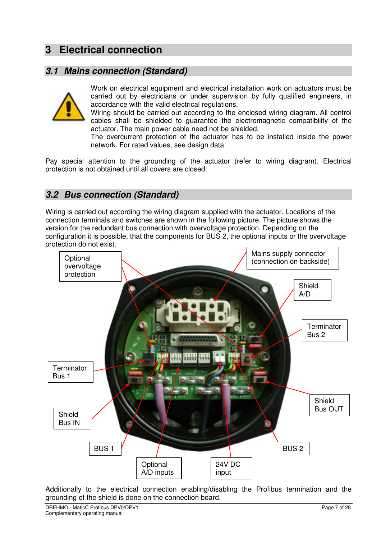## **3 Electrical connection**

## **3.1 Mains connection (Standard)**



Work on electrical equipment and electrical installation work on actuators must be carried out by electricians or under supervision by fully qualified engineers, in accordance with the valid electrical regulations.

Wiring should be carried out according to the enclosed wiring diagram. All control cables shall be shielded to guarantee the electromagnetic compatibility of the actuator. The main power cable need not be shielded.

The overcurrent protection of the actuator has to be installed inside the power network. For rated values, see design data.

Pay special attention to the grounding of the actuator (refer to wiring diagram). Electrical protection is not obtained until all covers are closed.

## **3.2 Bus connection (Standard)**

Wiring is carried out according the wiring diagram supplied with the actuator. Locations of the connection terminals and switches are shown in the following picture. The picture shows the version for the redundant bus connection with overvoltage protection. Depending on the configuration it is possible, that the components for BUS 2, the optional inputs or the overvoltage protection do not exist.



Additionally to the electrical connection enabling/disabling the Profibus termination and the grounding of the shield is done on the connection board.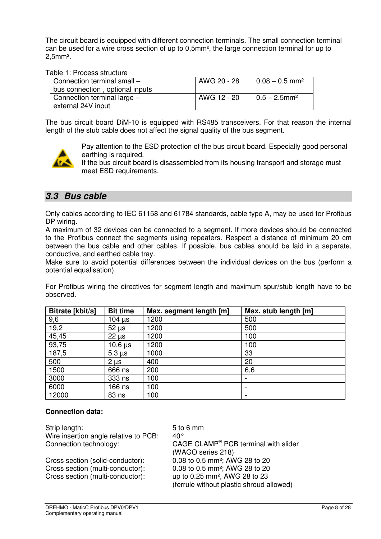The circuit board is equipped with different connection terminals. The small connection terminal can be used for a wire cross section of up to 0,5mm², the large connection terminal for up to 2,5mm².

Table 1: Process structure

| Connection terminal small -<br>bus connection, optional inputs | AWG 20 - 28 | $10.08 - 0.5$ mm <sup>2</sup> |
|----------------------------------------------------------------|-------------|-------------------------------|
| Connection terminal large $-$<br>external 24V input            | AWG 12 - 20 | $10.5 - 2.5$ mm <sup>2</sup>  |

The bus circuit board DiM-10 is equipped with RS485 transceivers. For that reason the internal length of the stub cable does not affect the signal quality of the bus segment.



Pay attention to the ESD protection of the bus circuit board. Especially good personal earthing is required.

If the bus circuit board is disassembled from its housing transport and storage must meet ESD requirements.

## **3.3 Bus cable**

Only cables according to IEC 61158 and 61784 standards, cable type A, may be used for Profibus DP wiring.

A maximum of 32 devices can be connected to a segment. If more devices should be connected to the Profibus connect the segments using repeaters. Respect a distance of minimum 20 cm between the bus cable and other cables. If possible, bus cables should be laid in a separate, conductive, and earthed cable tray.

Make sure to avoid potential differences between the individual devices on the bus (perform a potential equalisation).

For Profibus wiring the directives for segment length and maximum spur/stub length have to be observed.

| Bitrate [kbit/s] | <b>Bit time</b> | Max. segment length [m] | Max. stub length [m] |
|------------------|-----------------|-------------------------|----------------------|
| 9,6              | $104$ $\mu$ s   | 1200                    | 500                  |
| 19,2             | $52 \mu s$      | 1200                    | 500                  |
| 45,45            | $22 \mu s$      | 1200                    | 100                  |
| 93,75            | $10.6 \,\mu s$  | 1200                    | 100                  |
| 187,5            | $5.3 \,\mu s$   | 1000                    | 33                   |
| 500              | $2 \mu s$       | 400                     | 20                   |
| 1500             | 666 ns          | 200                     | 6,6                  |
| 3000             | 333 ns          | 100                     |                      |
| 6000             | 166 ns          | 100                     |                      |
| 12000            | 83 ns           | 100                     |                      |

#### **Connection data:**

Strip length: 5 to 6 mm Wire insertion angle relative to PCB: 40° Connection technology:

Cross section (solid-conductor): 0.08 to 0.5 mm²; AWG 28 to 20 Cross section (multi-conductor): 0.08 to 0.5 mm²; AWG 28 to 20 Cross section (multi-conductor): up to 0.25 mm², AWG 28 to 23

 $CAGE$  CLAMP® PCB terminal with slider (WAGO series 218) (ferrule without plastic shroud allowed)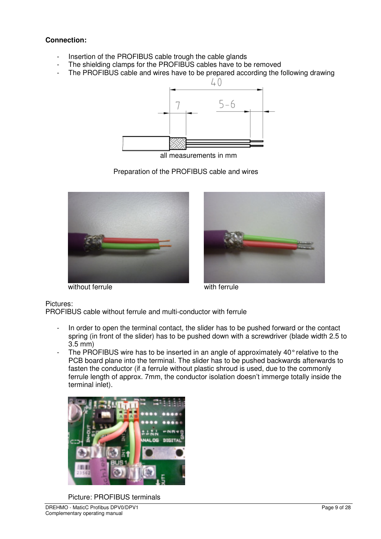#### **Connection:**

- Insertion of the PROFIBUS cable trough the cable glands
- The shielding clamps for the PROFIBUS cables have to be removed
- The PROFIBUS cable and wires have to be prepared according the following drawing



all measurements in mm







without ferrule with ferrule

Pictures:

PROFIBUS cable without ferrule and multi-conductor with ferrule

- In order to open the terminal contact, the slider has to be pushed forward or the contact spring (in front of the slider) has to be pushed down with a screwdriver (blade width 2.5 to 3.5 mm)
- The PROFIBUS wire has to be inserted in an angle of approximately  $40^{\circ}$  relative to the PCB board plane into the terminal. The slider has to be pushed backwards afterwards to fasten the conductor (if a ferrule without plastic shroud is used, due to the commonly ferrule length of approx. 7mm, the conductor isolation doesn't immerge totally inside the terminal inlet).



Picture: PROFIBUS terminals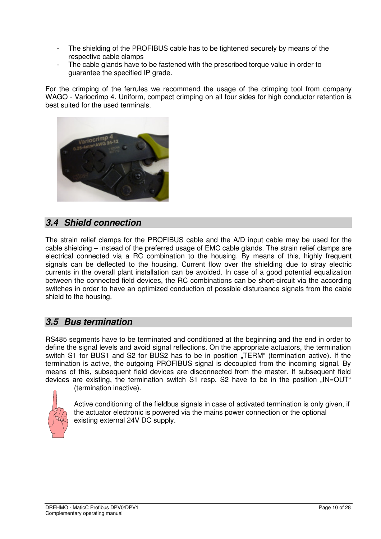- The shielding of the PROFIBUS cable has to be tightened securely by means of the respective cable clamps
- The cable glands have to be fastened with the prescribed torque value in order to guarantee the specified IP grade.

For the crimping of the ferrules we recommend the usage of the crimping tool from company WAGO - Variocrimp 4. Uniform, compact crimping on all four sides for high conductor retention is best suited for the used terminals.



## **3.4 Shield connection**

The strain relief clamps for the PROFIBUS cable and the A/D input cable may be used for the cable shielding – instead of the preferred usage of EMC cable glands. The strain relief clamps are electrical connected via a RC combination to the housing. By means of this, highly frequent signals can be deflected to the housing. Current flow over the shielding due to stray electric currents in the overall plant installation can be avoided. In case of a good potential equalization between the connected field devices, the RC combinations can be short-circuit via the according switches in order to have an optimized conduction of possible disturbance signals from the cable shield to the housing.

## **3.5 Bus termination**

RS485 segments have to be terminated and conditioned at the beginning and the end in order to define the signal levels and avoid signal reflections. On the appropriate actuators, the termination switch S1 for BUS1 and S2 for BUS2 has to be in position "TERM" (termination active). If the termination is active, the outgoing PROFIBUS signal is decoupled from the incoming signal. By means of this, subsequent field devices are disconnected from the master. If subsequent field devices are existing, the termination switch S1 resp. S2 have to be in the position  $M = \text{OUT}^*$ (termination inactive).



Active conditioning of the fieldbus signals in case of activated termination is only given, if the actuator electronic is powered via the mains power connection or the optional existing external 24V DC supply.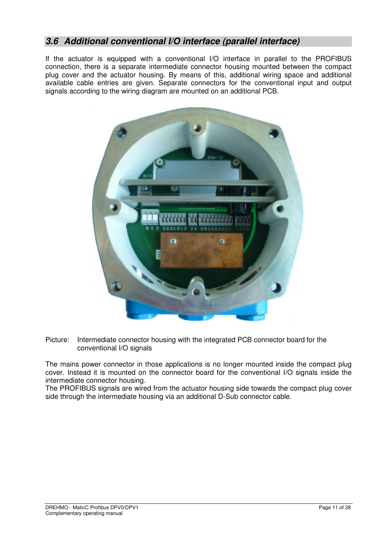## **3.6 Additional conventional I/O interface (parallel interface)**

If the actuator is equipped with a conventional I/O interface in parallel to the PROFIBUS connection, there is a separate intermediate connector housing mounted between the compact plug cover and the actuator housing. By means of this, additional wiring space and additional available cable entries are given. Separate connectors for the conventional input and output signals according to the wiring diagram are mounted on an additional PCB.



Picture: Intermediate connector housing with the integrated PCB connector board for the conventional I/O signals

The mains power connector in those applications is no longer mounted inside the compact plug cover. Instead it is mounted on the connector board for the conventional I/O signals inside the intermediate connector housing.

The PROFIBUS signals are wired from the actuator housing side towards the compact plug cover side through the intermediate housing via an additional D-Sub connector cable.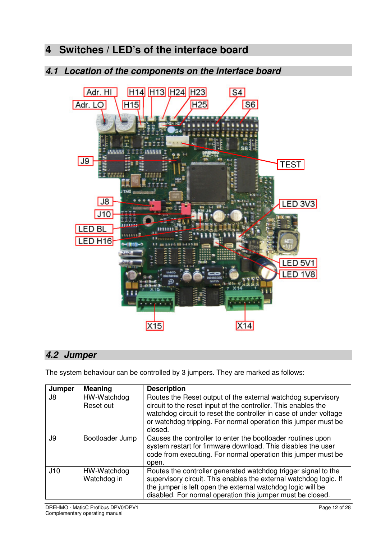## **4 Switches / LED's of the interface board**

## **4.1 Location of the components on the interface board**



### **4.2 Jumper**

The system behaviour can be controlled by 3 jumpers. They are marked as follows:

| Jumper | <b>Meaning</b>             | <b>Description</b>                                                                                                                                                                                                                                                               |
|--------|----------------------------|----------------------------------------------------------------------------------------------------------------------------------------------------------------------------------------------------------------------------------------------------------------------------------|
| J8     | HW-Watchdog<br>Reset out   | Routes the Reset output of the external watchdog supervisory<br>circuit to the reset input of the controller. This enables the<br>watchdog circuit to reset the controller in case of under voltage<br>or watchdog tripping. For normal operation this jumper must be<br>closed. |
| J9     | Bootloader Jump            | Causes the controller to enter the bootloader routines upon<br>system restart for firmware download. This disables the user<br>code from executing. For normal operation this jumper must be<br>open.                                                                            |
| J10    | HW-Watchdog<br>Watchdog in | Routes the controller generated watchdog trigger signal to the<br>supervisory circuit. This enables the external watchdog logic. If<br>the jumper is left open the external watchdog logic will be<br>disabled. For normal operation this jumper must be closed.                 |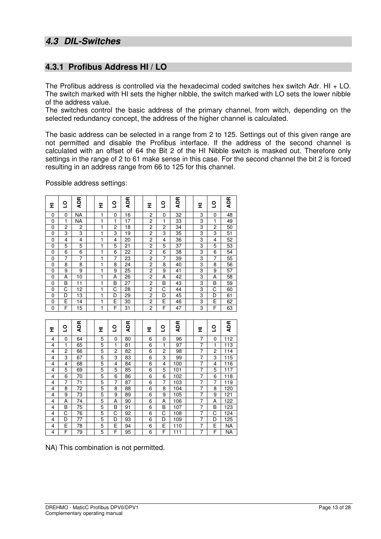## **4.3.1 Profibus Address HI / LO**

The Profibus address is controlled via the hexadecimal coded switches hex switch Adr. HI  $+$  LO. The switch marked with HI sets the higher nibble, the switch marked with LO sets the lower nibble of the address value.

The switches control the basic address of the primary channel, from witch, depending on the selected redundancy concept, the address of the higher channel is calculated.

The basic address can be selected in a range from 2 to 125. Settings out of this given range are not permitted and disable the Profibus interface. If the address of the second channel is calculated with an offset of 64 the Bit 2 of the HI Nibble switch is masked out. Therefore only settings in the range of 2 to 61 make sense in this case. For the second channel the bit 2 is forced resulting in an address range from 66 to 125 for this channel.

Possible address settings:

| 로                   | S              | <b>ADR</b>      | 로                   | <u>ទ</u>              | <b>ADR</b>      | Ξ              | S              | <b>ADR</b>                           | 로              | <u>ہ</u>       | <b>ADR</b>       |
|---------------------|----------------|-----------------|---------------------|-----------------------|-----------------|----------------|----------------|--------------------------------------|----------------|----------------|------------------|
| 0                   | $\mathbf 0$    | NA              | 1                   | 0                     | 16              | $\overline{c}$ | $\mathbf 0$    | 32                                   | 3              | 0              | 48               |
| 0                   | 1              | <b>NA</b>       | $\mathbf{1}$        | 1                     | 17              | $\overline{2}$ | 1              | 33                                   | 3              | 1              | 49               |
| 0                   | 2              | $\overline{c}$  | 1                   | $\overline{c}$        | 18              | $\overline{2}$ | $\overline{c}$ | 34                                   | 3              | $\overline{2}$ | 50               |
| 0                   | 3              | 3               | 1                   | 3                     | 19              | $\overline{2}$ | 3              | $\overline{35}$                      | 3              | 3              | 51               |
| 0                   | 4              | 4               | 1                   | 4                     | 20              | $\overline{2}$ | $\overline{4}$ | 36                                   | 3              | 4              | 52               |
| 0                   | 5              | 5               | 1                   | 5                     | $\overline{21}$ | $\overline{2}$ | 5              | $\overline{37}$                      | 3              | 5              | 53               |
| $\overline{0}$      | 6              | $\overline{6}$  | 1                   | $\overline{6}$        | $\overline{22}$ | $\overline{2}$ | $\overline{6}$ | $\overline{38}$                      | 3              | 6              | $\overline{54}$  |
| $\Omega$            | 7              | 7               | 1                   | $\overline{7}$        | 23              | $\overline{2}$ | $\overline{7}$ | 39                                   | 3              | 7              | $\overline{55}$  |
| 0                   | 8              | $\overline{8}$  | 1                   | 8                     | 24              | $\overline{2}$ | 8              | 40                                   | 3              | 8              | 56               |
| 0                   | 9              | 9               | 1                   | 9                     | 25              | $\overline{2}$ | 9              | 41                                   | 3              | 9              | 57               |
| $\mathbf 0$         | Ā              | 10              | 1                   | A                     | 26              | $\overline{c}$ | Ā              | 42                                   | 3              | Ā              | $\overline{58}$  |
| 0                   | B              | 11              | 1                   | B                     | 27              | $\overline{c}$ | B              | 43                                   | 3              | B              | 59               |
| 0                   | C              | $\overline{12}$ | 1                   | C                     | 28              | $\overline{2}$ | C              | 44                                   | 3              | С              | 60               |
| 0                   | D              | 13              | 1                   | D                     | 29              | $\overline{2}$ | D              | 45                                   | 3              | D              | 61               |
| 0                   | Ē              | $\overline{14}$ | $\overline{1}$      | Ē                     | 30              | $\overline{2}$ | Ē              | 46                                   | 3              | Ē              | 62               |
| $\Omega$            | F              | $\overline{15}$ | 1                   | F                     | 31              | $\overline{2}$ | F              | 47                                   | 3              | F              | 63               |
|                     |                |                 |                     |                       |                 |                |                |                                      |                |                |                  |
|                     |                |                 |                     |                       |                 |                |                |                                      |                |                |                  |
| 로                   | $\overline{c}$ | <b>ADR</b>      | Ξ                   | 9                     | <b>ADR</b>      | Ξ              | $\overline{c}$ | <b>ADR</b>                           | Ξ              | <u>ہ</u>       | <b>ADR</b>       |
| 4                   | 0              | 64              | 5                   | 0                     | 80              | 6              | $\mathbf 0$    | 96                                   | 7              | 0              | 112              |
| 4                   | 1              | 65              | 5                   | 1                     | 81              | 6              | $\mathbf{1}$   | $\overline{97}$                      | $\overline{7}$ | 1              | 113              |
| 4                   | $\overline{2}$ | 66              | 5                   | $\overline{2}$        | 82              | 6              | $\overline{2}$ | 98                                   | 7              | $\overline{2}$ | 114              |
| 4                   | 3              | 67              | 5                   | 3                     | 83              | 6              | 3              | 99                                   | 7              | 3              | 115              |
| 4                   | 4              | 68              | 5                   | 4                     | 84              | 6              | 4              | 100                                  | $\overline{7}$ | 4              | 116              |
| 4                   | 5              | 69              | 5                   | 5                     | 85              | 6              | 5              | 101                                  | $\overline{7}$ | 5              | 117              |
| 4                   | 6              | $\overline{70}$ | 5                   | 6                     | 86              | 6              | 6              | 102                                  | $\overline{7}$ | 6              | $\overline{118}$ |
| 4                   | $\overline{7}$ | $\overline{71}$ | 5                   | $\overline{7}$        | 87              | 6              | 7              | 103                                  | $\overline{7}$ | 7              | 119              |
| 4                   | 8              | $\overline{72}$ | 5                   | 8                     | 88              | 6              | 8              | 104                                  | 7              | 8              | 120              |
| 4                   | 9              | 73              | 5                   | 9                     | 89              | 6              | 9              | 105                                  | $\overline{7}$ | 9              | 121              |
| 4                   | A              | 74              | 5                   | A                     | 90              | $\overline{6}$ | A              | 106                                  | $\overline{7}$ | A              | 122              |
| 4                   | B              | 75              | 5                   | B                     | 91              | 6              | B              | 107                                  | 7              | B              | 123              |
| 4                   | C              | 76              | 5                   | $\overline{\text{c}}$ | 92              | 6              | C              | 108                                  | $\overline{7}$ | C              | 124              |
| 4                   | D              | $\overline{77}$ | 5                   | D                     | 93              | 6              | D              | 109                                  | $\overline{7}$ | D              | $\overline{125}$ |
| 4<br>$\overline{4}$ | E<br>F         | 78<br>79        | 5<br>$\overline{5}$ | Ē<br>F                | 94<br>95        | 6<br>6         | Ē<br>F         | $\overline{110}$<br>$\overline{111}$ | 7<br>7         | E<br>F         | <b>NA</b><br>ΝĀ  |

NA) This combination is not permitted.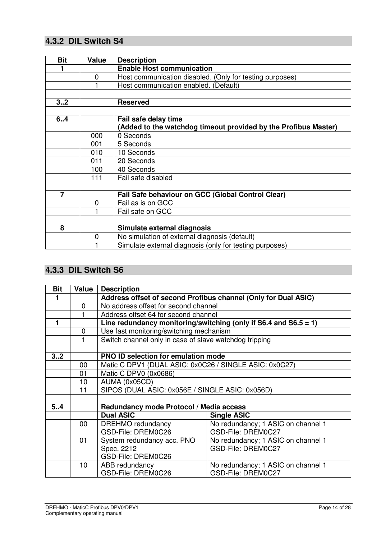## **4.3.2 DIL Switch S4**

| <b>Bit</b> | Value | <b>Description</b>                                              |
|------------|-------|-----------------------------------------------------------------|
|            |       | <b>Enable Host communication</b>                                |
|            | 0     | Host communication disabled. (Only for testing purposes)        |
|            |       | Host communication enabled. (Default)                           |
|            |       |                                                                 |
| 3.2        |       | <b>Reserved</b>                                                 |
|            |       |                                                                 |
| 6.4        |       | Fail safe delay time                                            |
|            |       | (Added to the watchdog timeout provided by the Profibus Master) |
|            | 000   | 0 Seconds                                                       |
|            | 001   | 5 Seconds                                                       |
|            | 010   | 10 Seconds                                                      |
|            | 011   | 20 Seconds                                                      |
|            | 100   | 40 Seconds                                                      |
|            | 111   | Fail safe disabled                                              |
|            |       |                                                                 |
| 7          |       | Fail Safe behaviour on GCC (Global Control Clear)               |
|            | 0     | Fail as is on GCC                                               |
|            |       | Fail safe on GCC                                                |
|            |       |                                                                 |
| 8          |       | Simulate external diagnosis                                     |
|            | 0     | No simulation of external diagnosis (default)                   |
|            |       | Simulate external diagnosis (only for testing purposes)         |

## **4.3.3 DIL Switch S6**

| <b>Bit</b> | <b>Value</b> | <b>Description</b>                                             |                                                                  |  |  |  |  |  |
|------------|--------------|----------------------------------------------------------------|------------------------------------------------------------------|--|--|--|--|--|
|            |              | Address offset of second Profibus channel (Only for Dual ASIC) |                                                                  |  |  |  |  |  |
|            | 0            | No address offset for second channel                           |                                                                  |  |  |  |  |  |
|            |              | Address offset 64 for second channel                           |                                                                  |  |  |  |  |  |
|            |              |                                                                | Line redundancy monitoring/switching (only if S6.4 and S6.5 = 1) |  |  |  |  |  |
|            | 0            | Use fast monitoring/switching mechanism                        |                                                                  |  |  |  |  |  |
|            |              | Switch channel only in case of slave watchdog tripping         |                                                                  |  |  |  |  |  |
|            |              |                                                                |                                                                  |  |  |  |  |  |
| 32         |              | <b>PNO ID selection for emulation mode</b>                     |                                                                  |  |  |  |  |  |
|            | 00           | Matic C DPV1 (DUAL ASIC: 0x0C26 / SINGLE ASIC: 0x0C27)         |                                                                  |  |  |  |  |  |
|            | 01           | Matic C DPV0 (0x0686)                                          |                                                                  |  |  |  |  |  |
|            | 10           | AUMA (0x05CD)                                                  |                                                                  |  |  |  |  |  |
|            | 11           | SIPOS (DUAL ASIC: 0x056E / SINGLE ASIC: 0x056D)                |                                                                  |  |  |  |  |  |
|            |              |                                                                |                                                                  |  |  |  |  |  |
| 5.4        |              | Redundancy mode Protocol / Media access                        |                                                                  |  |  |  |  |  |
|            |              | <b>Dual ASIC</b>                                               | <b>Single ASIC</b>                                               |  |  |  |  |  |
|            | 00           | <b>DREHMO</b> redundancy                                       | No redundancy; 1 ASIC on channel 1                               |  |  |  |  |  |
|            |              | GSD-File: DREM0C26                                             | GSD-File: DREM0C27                                               |  |  |  |  |  |
|            | 01           | System redundancy acc. PNO                                     | No redundancy; 1 ASIC on channel 1                               |  |  |  |  |  |
|            |              | Spec. 2212                                                     | GSD-File: DREM0C27                                               |  |  |  |  |  |
|            |              | GSD-File: DREM0C26                                             |                                                                  |  |  |  |  |  |
|            | 10           | ABB redundancy                                                 | No redundancy; 1 ASIC on channel 1                               |  |  |  |  |  |
|            |              | GSD-File: DREM0C26                                             | GSD-File: DREM0C27                                               |  |  |  |  |  |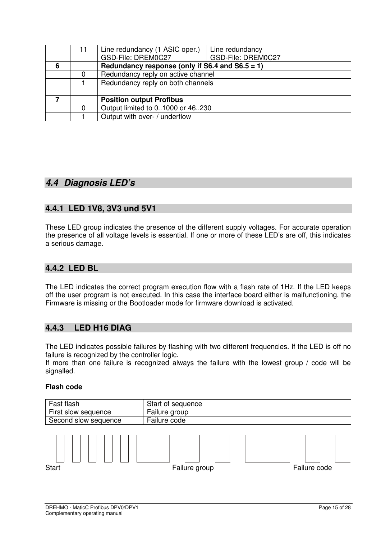|   | 11 | Line redundancy (1 ASIC oper.)<br>Line redundancy<br>GSD-File: DREM0C27<br>GSD-File: DREM0C27 |  |  |  |  |  |
|---|----|-----------------------------------------------------------------------------------------------|--|--|--|--|--|
| 6 |    | Redundancy response (only if S6.4 and S6.5 = 1)                                               |  |  |  |  |  |
|   |    | Redundancy reply on active channel                                                            |  |  |  |  |  |
|   |    | Redundancy reply on both channels                                                             |  |  |  |  |  |
|   |    |                                                                                               |  |  |  |  |  |
|   |    | <b>Position output Profibus</b>                                                               |  |  |  |  |  |
|   |    | Output limited to 01000 or 46230                                                              |  |  |  |  |  |
|   |    | Output with over- / underflow                                                                 |  |  |  |  |  |

## **4.4 Diagnosis LED's**

### **4.4.1 LED 1V8, 3V3 und 5V1**

These LED group indicates the presence of the different supply voltages. For accurate operation the presence of all voltage levels is essential. If one or more of these LED's are off, this indicates a serious damage.

### **4.4.2 LED BL**

The LED indicates the correct program execution flow with a flash rate of 1Hz. If the LED keeps off the user program is not executed. In this case the interface board either is malfunctioning, the Firmware is missing or the Bootloader mode for firmware download is activated.

#### **4.4.3 LED H16 DIAG**

The LED indicates possible failures by flashing with two different frequencies. If the LED is off no failure is recognized by the controller logic.

If more than one failure is recognized always the failure with the lowest group / code will be signalled.

#### **Flash code**

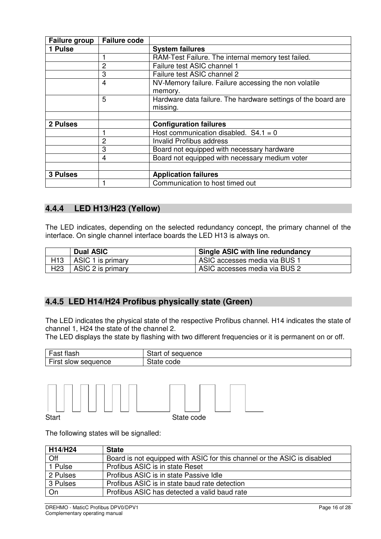| <b>Failure group</b> | <b>Failure code</b> |                                                               |
|----------------------|---------------------|---------------------------------------------------------------|
| 1 Pulse              |                     | <b>System failures</b>                                        |
|                      |                     | RAM-Test Failure. The internal memory test failed.            |
|                      | $\overline{2}$      | Failure test ASIC channel 1                                   |
|                      | 3                   | Failure test ASIC channel 2                                   |
|                      | 4                   | NV-Memory failure. Failure accessing the non volatile         |
|                      |                     | memory.                                                       |
|                      | 5                   | Hardware data failure. The hardware settings of the board are |
|                      |                     | missing.                                                      |
|                      |                     |                                                               |
| 2 Pulses             |                     | <b>Configuration failures</b>                                 |
|                      |                     | Host communication disabled. $S4.1 = 0$                       |
|                      | $\overline{2}$      | Invalid Profibus address                                      |
|                      | 3                   | Board not equipped with necessary hardware                    |
|                      | 4                   | Board not equipped with necessary medium voter                |
|                      |                     |                                                               |
| <b>3 Pulses</b>      |                     | <b>Application failures</b>                                   |
|                      |                     | Communication to host timed out                               |

#### **4.4.4 LED H13/H23 (Yellow)**

The LED indicates, depending on the selected redundancy concept, the primary channel of the interface. On single channel interface boards the LED H13 is always on.

|                 | <b>Dual ASIC</b>  | Single ASIC with line redundancy |
|-----------------|-------------------|----------------------------------|
| H <sub>13</sub> | ASIC 1 is primary | ASIC accesses media via BUS 1    |
| H <sub>23</sub> | ASIC 2 is primary | ASIC accesses media via BUS 2    |

#### **4.4.5 LED H14/H24 Profibus physically state (Green)**

The LED indicates the physical state of the respective Profibus channel. H14 indicates the state of channel 1, H24 the state of the channel 2.

The LED displays the state by flashing with two different frequencies or it is permanent on or off.

| flash<br>$-001$<br>ası | $\sim$<br>auence<br>.<br>sec<br>υı<br>الەرب |
|------------------------|---------------------------------------------|
| First                  | $\sim$                                      |
| sequence               | code                                        |
| slow                   | -                                           |



The following states will be signalled:

| H14/H24  | <b>State</b>                                                             |
|----------|--------------------------------------------------------------------------|
| Off      | Board is not equipped with ASIC for this channel or the ASIC is disabled |
| 1 Pulse  | Profibus ASIC is in state Reset                                          |
| 2 Pulses | Profibus ASIC is in state Passive Idle                                   |
| 3 Pulses | Profibus ASIC is in state baud rate detection                            |
| On       | Profibus ASIC has detected a valid baud rate                             |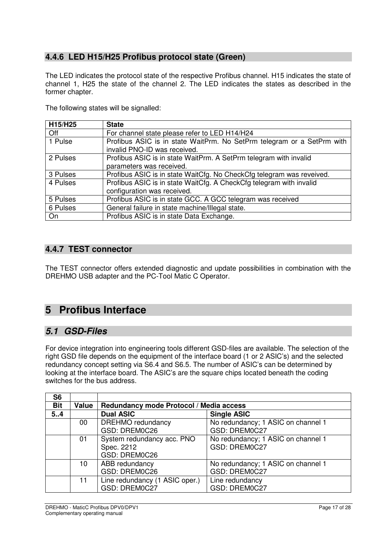## **4.4.6 LED H15/H25 Profibus protocol state (Green)**

The LED indicates the protocol state of the respective Profibus channel. H15 indicates the state of channel 1, H25 the state of the channel 2. The LED indicates the states as described in the former chapter.

The following states will be signalled:

| H15/H25  | <b>State</b>                                                                                           |
|----------|--------------------------------------------------------------------------------------------------------|
| Off      | For channel state please refer to LED H14/H24                                                          |
| 1 Pulse  | Profibus ASIC is in state WaitPrm. No SetPrm telegram or a SetPrm with<br>invalid PNO-ID was received. |
| 2 Pulses | Profibus ASIC is in state WaitPrm. A SetPrm telegram with invalid<br>parameters was received.          |
| 3 Pulses | Profibus ASIC is in state WaitCfg. No CheckCfg telegram was reveived.                                  |
| 4 Pulses | Profibus ASIC is in state WaitCfg. A CheckCfg telegram with invalid<br>configuration was received.     |
| 5 Pulses | Profibus ASIC is in state GCC. A GCC telegram was received                                             |
| 6 Pulses | General failure in state machine/Illegal state.                                                        |
| On       | Profibus ASIC is in state Data Exchange.                                                               |

### **4.4.7 TEST connector**

The TEST connector offers extended diagnostic and update possibilities in combination with the DREHMO USB adapter and the PC-Tool Matic C Operator.

## **5 Profibus Interface**

## **5.1 GSD-Files**

For device integration into engineering tools different GSD-files are available. The selection of the right GSD file depends on the equipment of the interface board (1 or 2 ASIC's) and the selected redundancy concept setting via S6.4 and S6.5. The number of ASIC's can be determined by looking at the interface board. The ASIC's are the square chips located beneath the coding switches for the bus address.

| S <sub>6</sub> |       |                                         |                                    |  |
|----------------|-------|-----------------------------------------|------------------------------------|--|
| <b>Bit</b>     | Value | Redundancy mode Protocol / Media access |                                    |  |
| 5.4            |       | <b>Dual ASIC</b>                        | <b>Single ASIC</b>                 |  |
|                | 00    | <b>DREHMO</b> redundancy                | No redundancy; 1 ASIC on channel 1 |  |
|                |       | GSD: DREM0C26                           | GSD: DREM0C27                      |  |
|                | 01    | System redundancy acc. PNO              | No redundancy; 1 ASIC on channel 1 |  |
|                |       | Spec. 2212                              | GSD: DREM0C27                      |  |
|                |       | GSD: DREM0C26                           |                                    |  |
|                | 10    | ABB redundancy                          | No redundancy; 1 ASIC on channel 1 |  |
|                |       | GSD: DREM0C26                           | GSD: DREM0C27                      |  |
|                | 11    | Line redundancy (1 ASIC oper.)          | Line redundancy                    |  |
|                |       | GSD: DREM0C27                           | GSD: DREM0C27                      |  |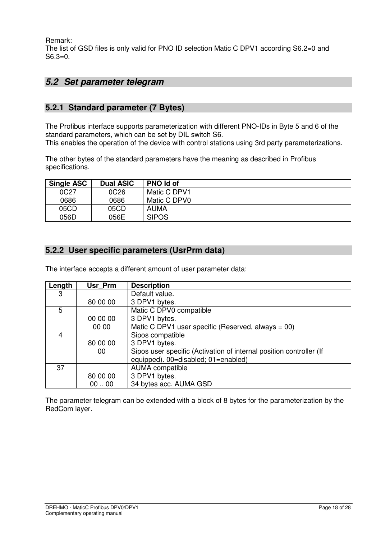Remark:

The list of GSD files is only valid for PNO ID selection Matic C DPV1 according S6.2=0 and S6.3=0.

## **5.2 Set parameter telegram**

### **5.2.1 Standard parameter (7 Bytes)**

The Profibus interface supports parameterization with different PNO-IDs in Byte 5 and 6 of the standard parameters, which can be set by DIL switch S6. This enables the operation of the device with control stations using 3rd party parameterizations.

The other bytes of the standard parameters have the meaning as described in Profibus specifications.

| <b>Single ASC</b> | <b>Dual ASIC</b> | <b>PNO Id of</b> |
|-------------------|------------------|------------------|
| 0C27              | 0C <sub>26</sub> | Matic C DPV1     |
| 0686              | 0686             | Matic C DPV0     |
| 05CD              | 05CD             | <b>AUMA</b>      |
| 056D              | 056E             | <b>SIPOS</b>     |

### **5.2.2 User specific parameters (UsrPrm data)**

The interface accepts a different amount of user parameter data:

| Length | Usr Prm  | <b>Description</b>                                                  |  |
|--------|----------|---------------------------------------------------------------------|--|
| 3      |          | Default value.                                                      |  |
|        | 80 00 00 | 3 DPV1 bytes.                                                       |  |
| 5      |          | Matic C DPV0 compatible                                             |  |
|        | 00 00 00 | 3 DPV1 bytes.                                                       |  |
|        | 00 00    | Matic C DPV1 user specific (Reserved, always = $00$ )               |  |
| 4      |          | Sipos compatible                                                    |  |
|        | 80 00 00 | 3 DPV1 bytes.                                                       |  |
|        | 00       | Sipos user specific (Activation of internal position controller (If |  |
|        |          | equipped). 00=disabled; 01=enabled)                                 |  |
| 37     |          | AUMA compatible                                                     |  |
|        | 80 00 00 | 3 DPV1 bytes.                                                       |  |
|        | 0000     | 34 bytes acc. AUMA GSD                                              |  |

The parameter telegram can be extended with a block of 8 bytes for the parameterization by the RedCom layer.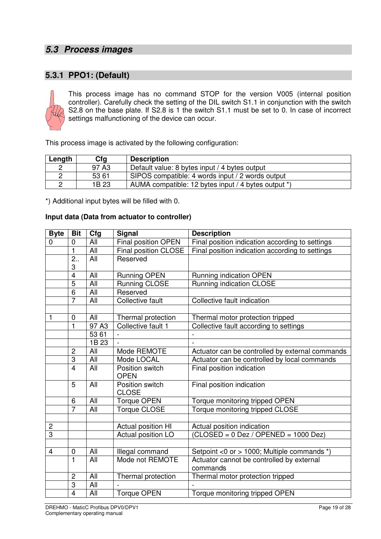## **5.3 Process images**

### **5.3.1 PPO1: (Default)**



This process image has no command STOP for the version V005 (internal position controller). Carefully check the setting of the DIL switch S1.1 in conjunction with the switch S2.8 on the base plate. If S2.8 is 1 the switch S1.1 must be set to 0. In case of incorrect settings malfunctioning of the device can occur.

This process image is activated by the following configuration:

| Length | Cfg               | <b>Description</b>                                  |
|--------|-------------------|-----------------------------------------------------|
|        | 97 A <sub>3</sub> | Default value: 8 bytes input / 4 bytes output       |
|        | 53 61             | SIPOS compatible: 4 words input / 2 words output    |
|        | 1B 23             | AUMA compatible: 12 bytes input / 4 bytes output *) |

\*) Additional input bytes will be filled with 0.

#### **Input data (Data from actuator to controller)**

| <b>Byte</b>             | <b>Bit</b>              | Cfg                            | <b>Signal</b>                   | <b>Description</b>                                       |
|-------------------------|-------------------------|--------------------------------|---------------------------------|----------------------------------------------------------|
| 0                       | 0                       | All                            | Final position OPEN             | Final position indication according to settings          |
|                         | $\mathbf{1}$            | All                            | Final position CLOSE            | Final position indication according to settings          |
|                         | 2.5                     | All                            | Reserved                        |                                                          |
|                         | 3                       |                                |                                 |                                                          |
|                         | $\overline{4}$          | All                            | <b>Running OPEN</b>             | Running indication OPEN                                  |
|                         | $\overline{5}$          | All                            | Running CLOSE                   | Running indication CLOSE                                 |
|                         | $\overline{6}$          | $\overline{All}$               | Reserved                        |                                                          |
|                         | $\overline{7}$          | All                            | <b>Collective fault</b>         | Collective fault indication                              |
|                         |                         |                                |                                 |                                                          |
| 1                       | $\boldsymbol{0}$        | All                            | Thermal protection              | Thermal motor protection tripped                         |
|                         | $\overline{1}$          | $\overline{97}$ A <sub>3</sub> | Collective fault 1              | Collective fault according to settings                   |
|                         |                         | 53 61                          |                                 |                                                          |
|                         |                         | $\overline{1}B$ 23             |                                 |                                                          |
|                         | $\overline{2}$          | All                            | Mode REMOTE                     | Actuator can be controlled by external commands          |
|                         | $\overline{3}$          | All                            | Mode LOCAL                      | Actuator can be controlled by local commands             |
|                         | $\overline{\mathbf{4}}$ | All                            | Position switch<br><b>OPEN</b>  | Final position indication                                |
|                         | $\overline{5}$          | All                            | Position switch<br><b>CLOSE</b> | Final position indication                                |
|                         | 6                       | $\overline{All}$               | <b>Torque OPEN</b>              | Torque monitoring tripped OPEN                           |
|                         | $\overline{7}$          | All                            | <b>Torque CLOSE</b>             | Torque monitoring tripped CLOSE                          |
|                         |                         |                                |                                 |                                                          |
| $\overline{2}$          |                         |                                | Actual position HI              | Actual position indication                               |
| $\overline{3}$          |                         |                                | Actual position LO              | $\overline{\text{(CLOSED = 0 Des / OPENED = 1000 Dez)}}$ |
|                         |                         |                                |                                 |                                                          |
| $\overline{\mathbf{4}}$ | $\mathbf 0$             | All                            | Illegal command                 | Setpoint <0 or > 1000; Multiple commands *)              |
|                         | $\mathbf{1}$            | $\overline{A}$ ll              | Mode not REMOTE                 | Actuator cannot be controlled by external<br>commands    |
|                         | $\overline{c}$          | All                            | Thermal protection              | Thermal motor protection tripped                         |
|                         | $\overline{3}$          | $\overline{All}$               |                                 |                                                          |
|                         | $\overline{4}$          | <b>All</b>                     | <b>Torque OPEN</b>              | Torque monitoring tripped OPEN                           |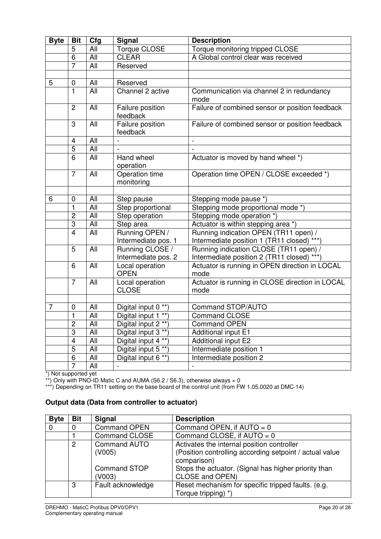| <b>Byte</b> | <b>Bit</b>                       | Cfg        | <b>Signal</b>                         | <b>Description</b>                                                                  |
|-------------|----------------------------------|------------|---------------------------------------|-------------------------------------------------------------------------------------|
|             | 5                                | All        | Torque CLOSE                          | Torque monitoring tripped CLOSE                                                     |
|             | $\overline{6}$                   | All        | <b>CLEAR</b>                          | A Global control clear was received                                                 |
|             | $\overline{7}$                   | All        | Reserved                              |                                                                                     |
|             |                                  |            |                                       |                                                                                     |
| 5           | 0                                | All        | Reserved                              |                                                                                     |
|             | $\mathbf{1}$                     | All        | Channel 2 active                      | Communication via channel 2 in redundancy<br>mode                                   |
|             | $\overline{2}$                   | All        | Failure position<br>feedback          | Failure of combined sensor or position feedback                                     |
|             | 3                                | All        | Failure position<br>feedback          | Failure of combined sensor or position feedback                                     |
|             | 4                                | All        |                                       |                                                                                     |
|             | $\overline{5}$                   | All        |                                       |                                                                                     |
|             | $\overline{6}$                   | All        | Hand wheel<br>operation               | Actuator is moved by hand wheel *)                                                  |
|             | $\overline{7}$                   | All        | Operation time<br>monitoring          | Operation time OPEN / CLOSE exceeded *)                                             |
|             |                                  |            |                                       |                                                                                     |
| 6           | $\mathbf 0$                      | All        | Step pause                            | Stepping mode pause *)                                                              |
|             | $\mathbf{1}$                     | All        | Step proportional                     | Stepping mode proportional mode *)                                                  |
|             | $\overline{c}$<br>$\overline{3}$ | All        | Step operation                        | Stepping mode operation *)                                                          |
|             | $\overline{\mathbf{4}}$          | All<br>All | Step area                             | Actuator is within stepping area *)                                                 |
|             |                                  |            | Running OPEN /<br>Intermediate pos. 1 | Running indication OPEN (TR11 open) /<br>Intermediate position 1 (TR11 closed) ***) |
|             | 5                                | All        | Running CLOSE /                       | Running indication CLOSE (TR11 open) /                                              |
|             |                                  |            | Intermediate pos. 2                   | Intermediate position 2 (TR11 closed) ***)                                          |
|             | 6                                | All        | Local operation<br><b>OPEN</b>        | Actuator is running in OPEN direction in LOCAL<br>mode                              |
|             | $\overline{7}$                   | All        | Local operation<br><b>CLOSE</b>       | Actuator is running in CLOSE direction in LOCAL<br>mode                             |
|             |                                  |            |                                       |                                                                                     |
| 7           | 0                                | All        | Digital input 0 **)                   | <b>Command STOP/AUTO</b>                                                            |
|             | $\mathbf{1}$                     | All        | Digital input 1 **)                   | <b>Command CLOSE</b>                                                                |
|             | 2                                | All        | Digital input 2 **)                   | <b>Command OPEN</b>                                                                 |
|             | $\overline{3}$                   | All        | Digital input $3**$ )                 | Additional input E1                                                                 |
|             | $\overline{4}$                   | All        | Digital input 4 **)                   | Additional input E2                                                                 |
|             | $\overline{5}$                   | All        | Digital input 5 <sup>**</sup>         | Intermediate position 1                                                             |
|             | $\overline{6}$                   | All        | Digital input 6 **)                   | Intermediate position 2                                                             |
|             | 7                                | All        |                                       |                                                                                     |

\*) Not supported yet

\*\*) Only with PNO-ID Matic C and AUMA (S6.2 / S6.3), otherwise always = 0

\*\*\*) Depending on TR11 setting on the base board of the control unit (from FW 1.05.0020 at DMC-14)

#### **Output data (Data from controller to actuator)**

| <b>Byte</b> | <b>Bit</b> | <b>Signal</b>        | <b>Description</b>                                       |
|-------------|------------|----------------------|----------------------------------------------------------|
| 0           | 0          | <b>Command OPEN</b>  | Command OPEN, if $AUTO = 0$                              |
|             |            | <b>Command CLOSE</b> | Command CLOSE, if $AUTO = 0$                             |
|             | 2          | <b>Command AUTO</b>  | Activates the internal position controller               |
|             |            | (V005)               | (Position controlling according setpoint / actual value) |
|             |            |                      | comparison)                                              |
|             |            | <b>Command STOP</b>  | Stops the actuator. (Signal has higher priority than     |
|             |            | (V003)               | CLOSE and OPEN)                                          |
|             | 3          | Fault acknowledge    | Reset mechanism for specific tripped faults. (e.g.       |
|             |            |                      | Torque tripping) *)                                      |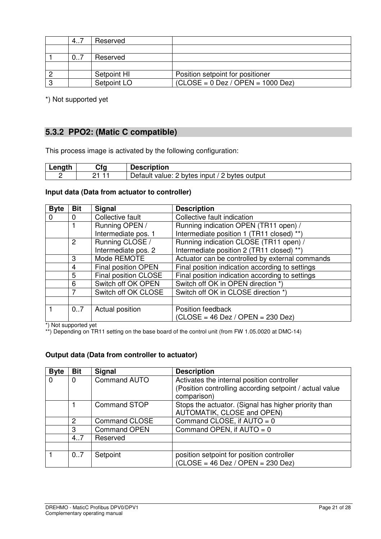|   | 4  | Reserved    |                                     |
|---|----|-------------|-------------------------------------|
|   |    |             |                                     |
|   | 07 | Reserved    |                                     |
|   |    |             |                                     |
|   |    | Setpoint HI | Position setpoint for positioner    |
| ິ |    | Setpoint LO | $(CLOSE = 0$ Dez / OPEN = 1000 Dez) |

\*) Not supported yet

### **5.3.2 PPO2: (Matic C compatible)**

This process image is activated by the following configuration:

| $\sim$ n $\sim$ | Cfa | <b>Description</b>                                               |
|-----------------|-----|------------------------------------------------------------------|
|                 |     | ∽<br>⌒<br>Detault<br>bytes<br>bytes<br>input<br>output<br>value: |

#### **Input data (Data from actuator to controller)**

| <b>Byte</b> | <b>Bit</b> | <b>Signal</b>        | <b>Description</b>                              |
|-------------|------------|----------------------|-------------------------------------------------|
| $\Omega$    | $\Omega$   | Collective fault     | Collective fault indication                     |
|             |            | Running OPEN /       | Running indication OPEN (TR11 open) /           |
|             |            | Intermediate pos. 1  | Intermediate position 1 (TR11 closed) **)       |
|             | 2          | Running CLOSE /      | Running indication CLOSE (TR11 open) /          |
|             |            | Intermediate pos. 2  | Intermediate position 2 (TR11 closed) **)       |
|             | 3          | Mode REMOTE          | Actuator can be controlled by external commands |
|             | 4          | Final position OPEN  | Final position indication according to settings |
|             | 5          | Final position CLOSE | Final position indication according to settings |
|             | 6          | Switch off OK OPEN   | Switch off OK in OPEN direction *)              |
|             |            | Switch off OK CLOSE  | Switch off OK in CLOSE direction *)             |
|             |            |                      |                                                 |
|             | 07         | Actual position      | Position feedback                               |
|             |            |                      | $(CLOSE = 46$ Dez / OPEN = 230 Dez)             |

\*) Not supported yet

\*\*) Depending on TR11 setting on the base board of the control unit (from FW 1.05.0020 at DMC-14)

#### **Output data (Data from controller to actuator)**

| <b>Byte</b> | <b>Bit</b>     | <b>Signal</b>        | <b>Description</b>                                                                 |
|-------------|----------------|----------------------|------------------------------------------------------------------------------------|
| $\Omega$    | $\Omega$       | <b>Command AUTO</b>  | Activates the internal position controller                                         |
|             |                |                      | (Position controlling according setpoint / actual value<br>comparison)             |
|             |                | <b>Command STOP</b>  | Stops the actuator. (Signal has higher priority than<br>AUTOMATIK, CLOSE and OPEN) |
|             | $\overline{2}$ | <b>Command CLOSE</b> | Command CLOSE, if $AUTO = 0$                                                       |
|             | 3              | <b>Command OPEN</b>  | Command OPEN, if $AUTO = 0$                                                        |
|             | 4.7            | Reserved             |                                                                                    |
|             |                |                      |                                                                                    |
|             | 07             | Setpoint             | position setpoint for position controller<br>$(CLOSE = 46$ Dez / OPEN = 230 Dez)   |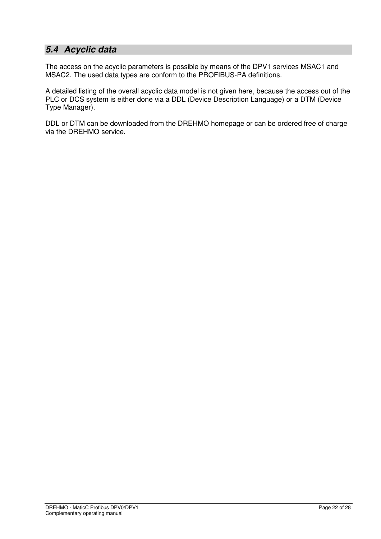## **5.4 Acyclic data**

The access on the acyclic parameters is possible by means of the DPV1 services MSAC1 and MSAC2. The used data types are conform to the PROFIBUS-PA definitions.

A detailed listing of the overall acyclic data model is not given here, because the access out of the PLC or DCS system is either done via a DDL (Device Description Language) or a DTM (Device Type Manager).

DDL or DTM can be downloaded from the DREHMO homepage or can be ordered free of charge via the DREHMO service.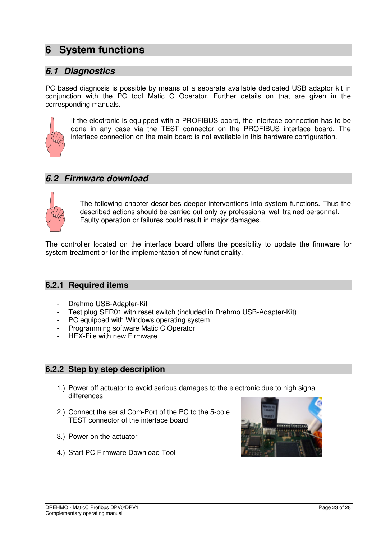## **6 System functions**

## **6.1 Diagnostics**

PC based diagnosis is possible by means of a separate available dedicated USB adaptor kit in conjunction with the PC tool Matic C Operator. Further details on that are given in the corresponding manuals.



If the electronic is equipped with a PROFIBUS board, the interface connection has to be done in any case via the TEST connector on the PROFIBUS interface board. The interface connection on the main board is not available in this hardware configuration.

#### **6.2 Firmware download**



The following chapter describes deeper interventions into system functions. Thus the described actions should be carried out only by professional well trained personnel. Faulty operation or failures could result in major damages.

The controller located on the interface board offers the possibility to update the firmware for system treatment or for the implementation of new functionality.

#### **6.2.1 Required items**

- Drehmo USB-Adapter-Kit
- Test plug SER01 with reset switch (included in Drehmo USB-Adapter-Kit)
- PC equipped with Windows operating system
- Programming software Matic C Operator
- HEX-File with new Firmware

#### **6.2.2 Step by step description**

- 1.) Power off actuator to avoid serious damages to the electronic due to high signal differences
- 2.) Connect the serial Com-Port of the PC to the 5-pole TEST connector of the interface board
- 3.) Power on the actuator
- 4.) Start PC Firmware Download Tool

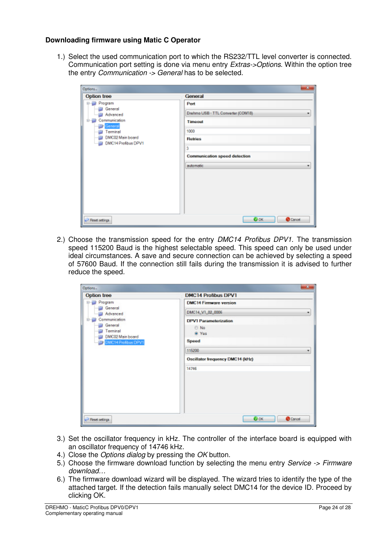#### **Downloading firmware using Matic C Operator**

1.) Select the used communication port to which the RS232/TTL level converter is connected. Communication port setting is done via menu entry Extras->Options. Within the option tree the entry *Communication -> General* has to be selected.

| Options                                                                                                                      | $\overline{\mathbf{x}}$                                                                                                                             |
|------------------------------------------------------------------------------------------------------------------------------|-----------------------------------------------------------------------------------------------------------------------------------------------------|
| Option tree                                                                                                                  | General                                                                                                                                             |
| Program<br>Eŀ<br>General<br>Advanced<br>Communication<br>⊟<br>General<br>Terminal<br>DMC02 Main board<br>DMC14 Profibus DPV1 | Port<br>Drehmo USB - TTL Converter (COM18)<br>٠<br><b>Timeout</b><br>1000<br>Retries<br>3<br><b>Communication speed detection</b><br>automatic<br>٠ |
| Peset setings                                                                                                                | <b>O</b> OK<br>Cancel                                                                                                                               |

2.) Choose the transmission speed for the entry DMC14 Profibus DPV1. The transmission speed 115200 Baud is the highest selectable speed. This speed can only be used under ideal circumstances. A save and secure connection can be achieved by selecting a speed of 57600 Baud. If the connection still fails during the transmission it is advised to further reduce the speed.

| Option tree                               | <b>DMC14 Profibus DPV1</b>                           |
|-------------------------------------------|------------------------------------------------------|
| Program<br>$B - B$                        | <b>DMC14 Firmware version</b>                        |
| General<br>Advanced                       | DMC14_V1_02_0006<br>۰                                |
| Communication<br>B<br>General<br>Terminal | <b>DPV1 Parameterization</b><br><b>D</b> No<br>@ Yes |
| DMC02 Main board<br>DMC14 Profibus DPV1   | Speed                                                |
|                                           | 115200<br>٠                                          |
|                                           | Oscillator frequency DMC14 (kHz)                     |
|                                           | 14746                                                |
|                                           |                                                      |
| Pleast settings                           | <b>O</b> OK<br><b>O</b> Cancel                       |

- 3.) Set the oscillator frequency in kHz. The controller of the interface board is equipped with an oscillator frequency of 14746 kHz.
- 4.) Close the Options dialog by pressing the OK button.
- 5.) Choose the firmware download function by selecting the menu entry Service -> Firmware download…
- 6.) The firmware download wizard will be displayed. The wizard tries to identify the type of the attached target. If the detection fails manually select DMC14 for the device ID. Proceed by clicking OK.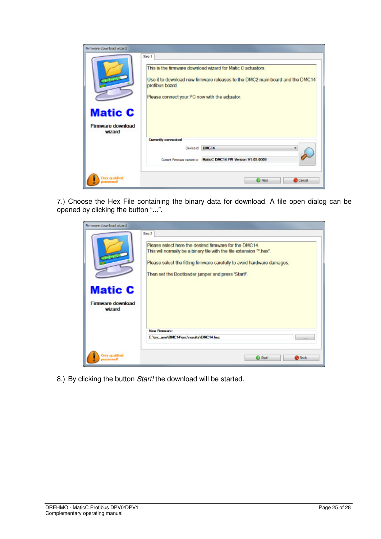| <b>Matic C</b><br>Firmware download<br>wizard |                     | Please connect your PC now with the adjuator.                    |
|-----------------------------------------------|---------------------|------------------------------------------------------------------|
|                                               | Currently connected |                                                                  |
|                                               | Device id           | DMC14                                                            |
|                                               |                     | Current Fernivans version is: MotioC DMC14 FW Version V1.03.0009 |

7.) Choose the Hex File containing the binary data for download. A file open dialog can be opened by clicking the button "...".

| $-1 - 1 - 1 - 1 -$<br><b>Matic C</b><br>Firmware download<br>wizard | Step 2<br>Please select here the desired firmware for the DMC14.<br>This will normally be a binary file with the file extension "" hex".<br>Please select the fitting firmware carefuly to avoid hardware damages.<br>Then set the Bootloader jumper and press 'Start!'. |
|---------------------------------------------------------------------|--------------------------------------------------------------------------------------------------------------------------------------------------------------------------------------------------------------------------------------------------------------------------|
|                                                                     | New Firmware:                                                                                                                                                                                                                                                            |
|                                                                     |                                                                                                                                                                                                                                                                          |

8.) By clicking the button Start! the download will be started.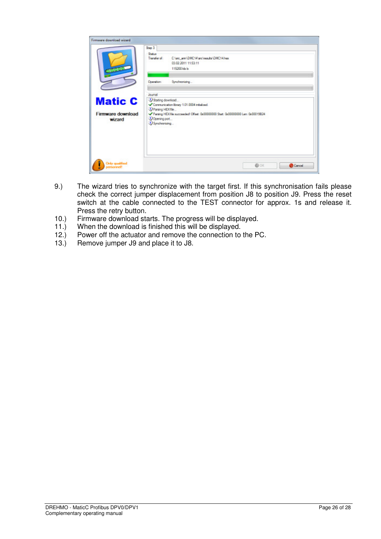|                                               | Shap 3                                                                                |                                                                                                                                 |
|-----------------------------------------------|---------------------------------------------------------------------------------------|---------------------------------------------------------------------------------------------------------------------------------|
| <b>Statement</b>                              | <b>Shakur</b><br>Transfer of:                                                         | Criard ann/DMC14/arc/ceauta/DMC14/nex<br>03/02/2011 11:53:11<br>115200 kb/s                                                     |
|                                               | Operation:                                                                            | Synchranizing                                                                                                                   |
| <b>Matic C</b><br>Firmware download<br>wizard | Journal<br>D Stating download<br>D Parsing HEX file<br>Doening port<br>DSynchronizing | Communication library 1.01.0004 initialized.<br>Parting HEX file succeeded Offset: 0x00000000 Start: 0x00000000 Len: 0x00019E24 |
|                                               |                                                                                       |                                                                                                                                 |

- 9.) The wizard tries to synchronize with the target first. If this synchronisation fails please check the correct jumper displacement from position J8 to position J9. Press the reset switch at the cable connected to the TEST connector for approx. 1s and release it. Press the retry button.
- 10.) Firmware download starts. The progress will be displayed.
- 11.) When the download is finished this will be displayed.
- 12.) Power off the actuator and remove the connection to the PC.
- 13.) Remove jumper J9 and place it to J8.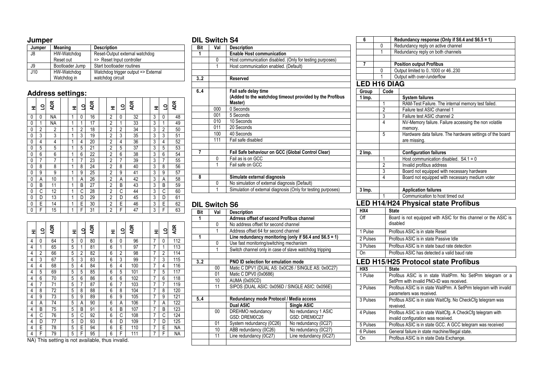| lumn |
|------|
|------|

| Jumper | <b>Meaning</b>  | <b>Description</b>                  |
|--------|-----------------|-------------------------------------|
| J8     | HW-Watchdog     | Reset-Output external watchdog      |
|        | Reset out       | => Reset Input controller           |
| J9     | Bootloader Jump | Start bootloader routines           |
| J10    | HW-Watchdog     | Watchdog trigger output => External |
|        | Watchdog in     | watchdog circuit                    |

#### **Address settings:**

| 로 | <u>ទ</u>       | <b>ADR</b>     | ᆍ | $\overline{a}$ | <b>ADR</b> | 로              | ₫              | <b>ADR</b> | 로 | $\overline{a}$ | <b>ADR</b> |
|---|----------------|----------------|---|----------------|------------|----------------|----------------|------------|---|----------------|------------|
| 0 | 0              | NA             | 1 | 0              | 16         | 2              | 0              | 32         | 3 | 0              | 48         |
| 0 | $\mathbf{1}$   | ΝA             | 1 | 1              | 17         | 2              | 1              | 33         | 3 | 1              | 49         |
| 0 | $\overline{2}$ | $\overline{2}$ | 1 | $\overline{2}$ | 18         | $\overline{2}$ | $\overline{2}$ | 34         | 3 | $\overline{2}$ | 50         |
| 0 | 3              | 3              | 1 | 3              | 19         | $\overline{2}$ | 3              | 35         | 3 | 3              | 51         |
| 0 | 4              | 4              | 1 | 4              | 20         | $\overline{2}$ | 4              | 36         | 3 | 4              | 52         |
| 0 | 5              | 5              | 1 | 5              | 21         | $\overline{2}$ | 5              | 37         | 3 | 5              | 53         |
| 0 | 6              | 6              | 1 | 6              | 22         | $\overline{2}$ | 6              | 38         | 3 | 6              | 54         |
| 0 | 7              | 7              | 1 | 7              | 23         | $\overline{2}$ | 7              | 39         | 3 | 7              | 55         |
| 0 | 8              | 8              | 1 | 8              | 24         | $\overline{2}$ | 8              | 40         | 3 | 8              | 56         |
| 0 | 9              | 9              | 1 | 9              | 25         | $\overline{2}$ | 9              | 41         | 3 | 9              | 57         |
| 0 | Α              | 10             | 1 | А              | 26         | $\overline{2}$ | A              | 42         | 3 | Α              | 58         |
| 0 | B              | 11             | 1 | B              | 27         | $\overline{2}$ | B              | 43         | 3 | B              | 59         |
| 0 | Ć              | 12             | 1 | Ć              | 28         | 2              | Ć              | 44         | 3 | Ċ              | 60         |
| 0 | D              | 13             | 1 | D              | 29         | $\overline{2}$ | D              | 45         | 3 | D              | 61         |
| 0 | E              | 14             | 1 | E              | 30         | $\overline{2}$ | E              | 46         | 3 | E              | 62         |
| 0 | F              | 15             | 1 | F              | 31         | $\overline{2}$ | F              | 47         | 3 | F              | 63         |

| 로   | <u>ទ</u>       | Æ  | Ξ | q | ĄDR | 도 | <u>ទ</u>                                     | Æ   |  | 로 | $\overline{a}$ | <b>ADR</b> |  |  |  |  |
|-----|----------------|----|---|---|-----|---|----------------------------------------------|-----|--|---|----------------|------------|--|--|--|--|
| 4   | 0              | 64 | 5 | 0 | 80  | 6 | 0                                            | 96  |  | 7 | 0              | 112        |  |  |  |  |
| 4   | 1              | 65 | 5 | 1 | 81  | 6 | 1                                            | 97  |  | 7 | 1              | 113        |  |  |  |  |
| 4   | $\overline{2}$ | 66 | 5 | 2 | 82  | 6 | 2                                            | 98  |  | 7 | $\overline{2}$ | 114        |  |  |  |  |
| 4   | 3              | 67 | 5 | 3 | 83  | 6 | 3                                            | 99  |  | 7 | 3              | 115        |  |  |  |  |
| 4   | 4              | 68 | 5 | 4 | 84  | 6 | 4                                            | 100 |  | 7 | 4              | 116        |  |  |  |  |
| 4   | 5              | 69 | 5 | 5 | 85  | 6 | 5                                            | 101 |  | 7 | 5              | 117        |  |  |  |  |
| 4   | 6              | 70 | 5 | 6 | 86  | 6 | 6                                            | 102 |  | 7 | 6              | 118        |  |  |  |  |
| 4   | 7              | 71 | 5 | 7 | 87  | 6 | 7                                            | 103 |  | 7 | 7              | 119        |  |  |  |  |
| 4   | 8              | 72 | 5 | 8 | 88  | 6 | 8                                            | 104 |  | 7 | 8              | 120        |  |  |  |  |
| 4   | 9              | 73 | 5 | 9 | 89  | 6 | 9                                            | 105 |  | 7 | 9              | 121        |  |  |  |  |
| 4   | А              | 74 | 5 | А | 90  | 6 | Α                                            | 106 |  | 7 | А              | 122        |  |  |  |  |
| 4   | B              | 75 | 5 | B | 91  | 6 | B                                            | 107 |  | 7 | B              | 123        |  |  |  |  |
| 4   | Ċ              | 76 | 5 | С | 92  | 6 | Ċ                                            | 108 |  | 7 | C              | 124        |  |  |  |  |
| 4   | D              | 77 | 5 | D | 93  | 6 | D                                            | 109 |  | 7 | D              | 125        |  |  |  |  |
| 4   | E              | 78 | 5 | E | 94  | 6 | E                                            | 110 |  | 7 | E              | <b>NA</b>  |  |  |  |  |
| 4   | F              | 79 | 5 | F | 95  | 6 | F                                            | 111 |  | 7 | F              | <b>NA</b>  |  |  |  |  |
| NA) |                |    |   |   |     |   | This setting is not available, thus invalid. |     |  |   |                |            |  |  |  |  |

#### **DIL Switch S4**

| Bit | Val | <b>Description</b>                                           |
|-----|-----|--------------------------------------------------------------|
| 1   |     | <b>Enable Host communication</b>                             |
|     | 0   | Host communication disabled. (Only for testing purposes)     |
|     | 1   | Host communication enabled. (Default)                        |
|     |     |                                                              |
| 3.2 |     | Reserved                                                     |
|     |     |                                                              |
| 6.4 |     | Fail safe delay time                                         |
|     |     | (Added to the watchdog timeout provided by the Profibus      |
|     |     | Master)                                                      |
|     | 000 | 0 Seconds                                                    |
|     | 001 | 5 Seconds                                                    |
|     | 010 | 10 Seconds                                                   |
|     | 011 | 20 Seconds                                                   |
|     | 100 | 40 Seconds                                                   |
|     | 111 | Fail safe disabled                                           |
|     |     |                                                              |
| 7   |     | Fail Safe behaviour on GCC (Global Control Clear)            |
|     | 0   | Fail as is on GCC                                            |
|     | 1   | Fail safe on GCC                                             |
|     |     |                                                              |
| 8   |     | Simulate external diagnosis                                  |
|     | 0   | No simulation of external diagnosis (Default)                |
|     | 1   | Simulation of external diagnosis (Only for testing purposes) |
|     |     |                                                              |

#### **DIL Switch S6**

| Bit | Val | <b>Description</b>                                     |                                      |  |  |  |  |  |  |
|-----|-----|--------------------------------------------------------|--------------------------------------|--|--|--|--|--|--|
|     |     | Adrress offset of second Profibus channel              |                                      |  |  |  |  |  |  |
|     | 0   | No address offset for second channel                   |                                      |  |  |  |  |  |  |
|     | 1   |                                                        | Address offset 64 for second channel |  |  |  |  |  |  |
| 1   |     | Line redundancy monitoring (only if S6.4 and S6.5 = 1) |                                      |  |  |  |  |  |  |
|     | 0   | Use fast monitoring/switching mechanism                |                                      |  |  |  |  |  |  |
|     | 1   | Switch channel only in case of slave watchdog tripping |                                      |  |  |  |  |  |  |
|     |     |                                                        |                                      |  |  |  |  |  |  |
| 3.2 |     | PNO ID selection for emulation mode                    |                                      |  |  |  |  |  |  |
|     | 00  | Matic C DPV1 (DUAL AS: 0x0C26 / SINGLE AS: 0x0C27)     |                                      |  |  |  |  |  |  |
|     | 01  | Matic C DPV0 (0x0686)                                  |                                      |  |  |  |  |  |  |
|     | 10  | AUMA (0x05CD)                                          |                                      |  |  |  |  |  |  |
|     | 11  | SIPOS (DUAL ASIC: 0x056D / SINGLE ASIC: 0x056E)        |                                      |  |  |  |  |  |  |
|     |     |                                                        |                                      |  |  |  |  |  |  |
| 5.4 |     | Redundancy mode Protocol / Media access                |                                      |  |  |  |  |  |  |
|     |     | Dual ASIC                                              | Single ASIC                          |  |  |  |  |  |  |
|     | 00  | DREHMO redundancy                                      | No redundancy 1 ASIC                 |  |  |  |  |  |  |
|     |     | GSD: DREM0C26                                          | GSD: DREM0C27                        |  |  |  |  |  |  |
|     | 01  | System redundancy (0C26)                               | No redundancy (0C27)                 |  |  |  |  |  |  |
|     | 10  | ABB redundancy (0C26)                                  | No redundancy (0C27)                 |  |  |  |  |  |  |
|     | 11  | Line redundancy (0C27)                                 | Line redundancy (0C27)               |  |  |  |  |  |  |
|     |     |                                                        |                                      |  |  |  |  |  |  |

| 6                   |                |      | Redundancy response (Only if S6.4 and S6.5 = 1)           |
|---------------------|----------------|------|-----------------------------------------------------------|
|                     | 0              |      | Redundancy reply on active channel                        |
|                     |                |      | Redundancy reply on both channels                         |
|                     |                |      |                                                           |
| 7                   |                |      | <b>Position output Profibus</b>                           |
|                     | 0              |      | Output limited to 01000 or 46.230                         |
|                     |                |      | Output with over-/underflow                               |
| <b>LED H16 DIAG</b> |                |      |                                                           |
| Group               |                | Code |                                                           |
| 1 Imp.              |                |      | <b>System failures</b>                                    |
|                     | 1              |      | RAM-Test Failure. The internal memory test failed.        |
|                     | 2              |      | Failure test ASIC channel 1                               |
|                     | 3              |      | Failure test ASIC channel 2                               |
|                     | 4              |      | NV-Memory failure. Failure accessing the non volatile     |
|                     |                |      | memory.                                                   |
|                     | 5              |      | Hardware data failure. The hardware settings of the board |
|                     |                |      | are missing.                                              |
|                     |                |      |                                                           |
| 2 Imp.              |                |      | <b>Configuration failures</b>                             |
|                     | 1              |      | Host communication disabled. $S4.1 = 0$                   |
|                     | $\overline{2}$ |      | Invalid profibus address                                  |
|                     | 3              |      | Board not equipped with necessary hardware                |

#### **3 Imp. Application failures**1 Communication to host timed out 1

Board not equipped with necessary medium voter

#### **LED H14/H24 Physical state Profibus**

4

| HX4                                        | State                                                                                                  |  |  |  |
|--------------------------------------------|--------------------------------------------------------------------------------------------------------|--|--|--|
| Off                                        | Board is not equipped with ASIC for this channel or the ASIC is<br>disabled                            |  |  |  |
| 1 Pulse                                    | Profibus ASIC is in state Reset                                                                        |  |  |  |
| 2 Pulses                                   | Profibus ASIC is in state Passive Idle                                                                 |  |  |  |
| 3 Pulses                                   | Profibus ASIC is in state baud rate detection                                                          |  |  |  |
| On                                         | Profibus ASIC has detected a valid baud rate                                                           |  |  |  |
| <b>LED H15/H25 Protocol state Profibus</b> |                                                                                                        |  |  |  |
| HX <sub>5</sub>                            | <b>State</b>                                                                                           |  |  |  |
| 1 Pulse                                    | Profibus ASIC is in state WaitPrm. No SetPrm telegram or a<br>SetPrm with invalid PNO-ID was received. |  |  |  |
| 2 Pulses                                   | Profibus ASIC is in state WaitPrm. A SetPrm telegram with invalid<br>parameters was received.          |  |  |  |
| 3 Pulses                                   | Profibus ASIC is in state WaitCfg. No CheckCfg telegram was<br>reveived                                |  |  |  |
| 4 Pulses                                   | Profibus ASIC is in state WaitCfg. A CheckCfg telegram with                                            |  |  |  |
|                                            | invalid configuration was received.                                                                    |  |  |  |
| 5 Pulses                                   | Profibus ASIC is in state GCC. A GCC telegram was received                                             |  |  |  |
| 6 Pulses                                   | General failure in state machine/Illegal state.                                                        |  |  |  |
| On                                         | Profibus ASIC is in state Data Exchange.                                                               |  |  |  |